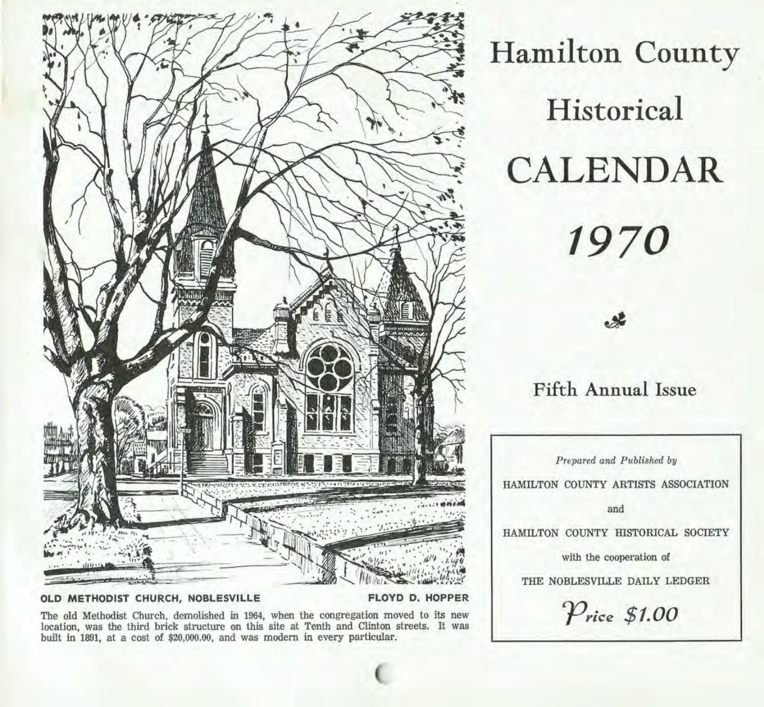

## **OLD METHODIST CHURCH, NOBLESVILLE FLOYD D. HOPPER**

The old Methodist Church, demolished in 1964, when the congregation moved to its new location, was the third brick structure on this site at Tenth and Clinton streets. It was built in 1891, at a cost of \$20,000.00, and was modem in every particular.

**Hamilton County Historical CALENDAR 1970** 

**Fifth Annual Issue** 

*Prepared and Published by*  HAMILTON COUNTY ARTISTS ASSOCIATION

and

HAMILTON COUNTY HISTORICAL SOCIETY

with the cooperation of

THE NOBLESVILLE DAILY LEDGER

 $P$ rice \$1.00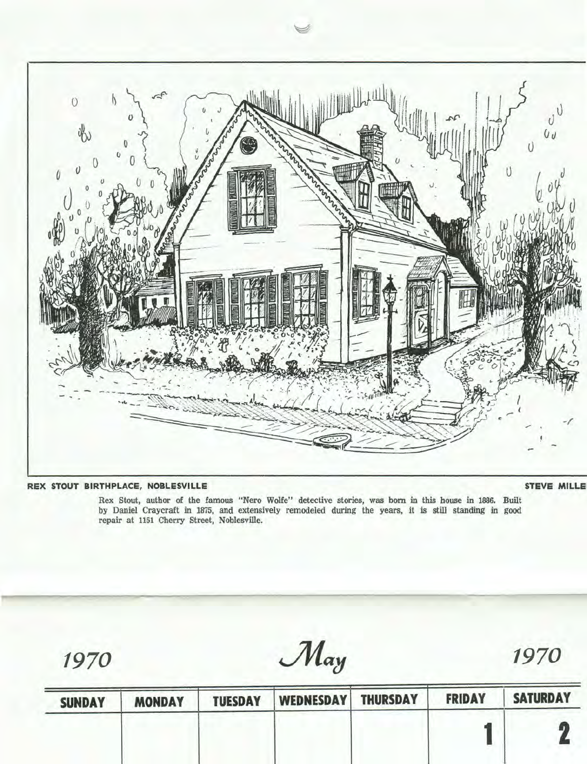

## **REX STOUT BIRTHPLACE, NOBLESVILLE**

## **STEVE MILLE**

Rex Stout, author of the famous "Nero Wolfe" detective stories, was born in this house in 1886. Built by Daniel Craycraft in 1875, and extensively remodeled during the years, it is still standing in good repair at 1151 Cherry Street, Noblesville.

1970 May 1970

| <b>SUNDAY</b> | <b>MONDAY</b> | <b>TUESDAY</b> | <b>WEDNESDAY</b> | <b>THURSDAY</b> | <b>FRIDAY</b> | <b>SATURDAY</b> |
|---------------|---------------|----------------|------------------|-----------------|---------------|-----------------|
|               |               |                |                  |                 |               |                 |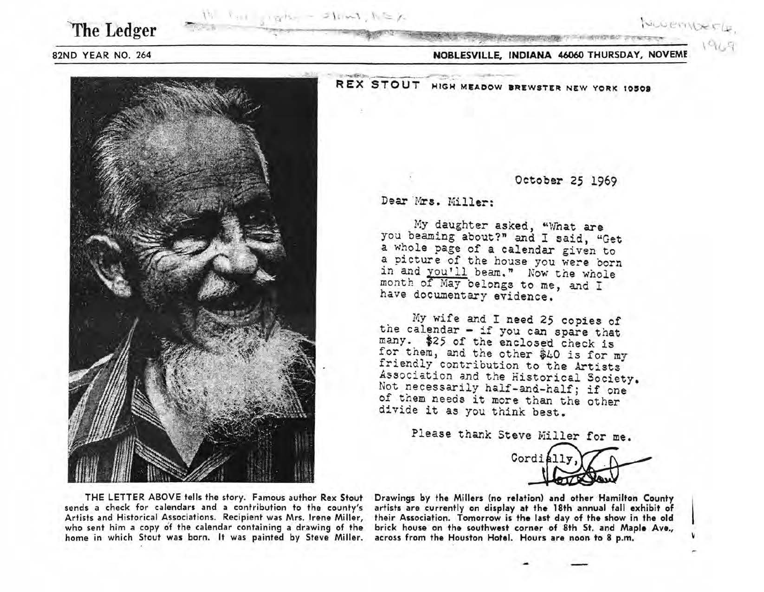The Ledger

 $W$  full similar - Slows,  $h \geq \mu$ 

## 82ND YEAR NO. 264

NOBLESVILLE, INDIANA 46060 THURSDAY, NOVEME



REX STOUT HIGH MEADOW BREWSTER NEW YORK 10509

October 25 1969

Dear Mrs. Miller:

My daughter asked, "What are you beaming about?" and I said, "Get a whole page of a calendar given to a picture of the house you were born in and you'll beam." Now the whole month of May belongs to me, and I have documentary evidence.

. My wife and I need 25 copies of the calendar - if you can spare that many. \$25 of the enclosed check is<br>for them, and the other \$40 is for my friendly contribution to the Artists Association and the Historical Society. Not necessarily half-and-half; if one of them needs it more than the other divide it as you think best.

Please thank Steve Miller for me.

Cordially

THE LETTER ABOVE tells the story. Famous author Rex Stout Drawings by the Millers {no relation) and other Hamilton County sends a check for calendars and a contribution to the county's artists are currently on display at the 18th annual fall exhibit of Artists and Historical Associations. Recipient was Mrs. Irene Miller, their Association. Tomorrow is the last day of the show in the old who sent him a copy of the calendar containing a drawing of the brick house on the southwest corner of 8th St. and Maple Ave.,<br>home in which Stout was born. It was painted by Steve Miller. across from the Houston Hotel. Ho home in which Stout was born. It was painted by Steve Miller.

NUCEMBER